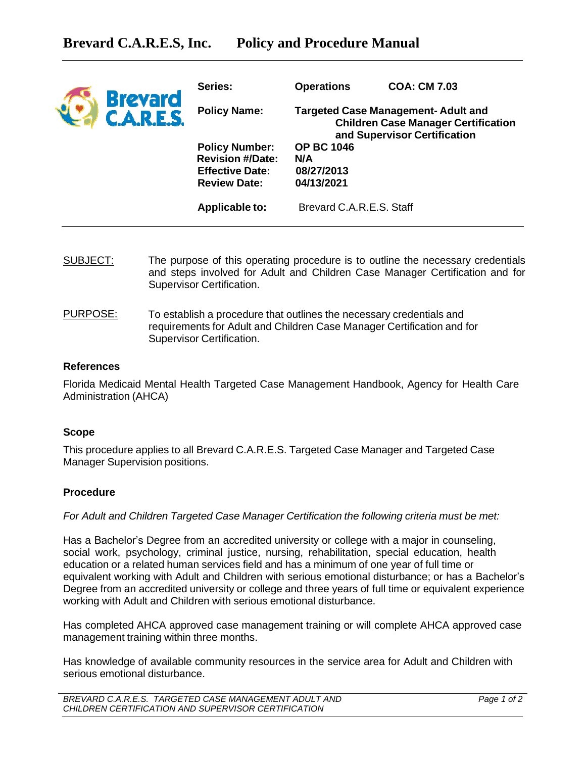| <b>Brevard</b><br><b>C.A.R.E.S.</b> | Series:                                           | <b>Operations</b>                                                                                                       | <b>COA: CM 7.03</b> |
|-------------------------------------|---------------------------------------------------|-------------------------------------------------------------------------------------------------------------------------|---------------------|
|                                     | <b>Policy Name:</b>                               | <b>Targeted Case Management-Adult and</b><br><b>Children Case Manager Certification</b><br>and Supervisor Certification |                     |
|                                     | <b>Policy Number:</b>                             | <b>OP BC 1046</b>                                                                                                       |                     |
|                                     | <b>Revision #/Date:</b><br><b>Effective Date:</b> | N/A<br>08/27/2013                                                                                                       |                     |
|                                     | <b>Review Date:</b>                               | 04/13/2021                                                                                                              |                     |
|                                     | <b>Applicable to:</b>                             | Brevard C.A.R.E.S. Staff                                                                                                |                     |

- SUBJECT: The purpose of this operating procedure is to outline the necessary credentials and steps involved for Adult and Children Case Manager Certification and for Supervisor Certification.
- PURPOSE: To establish a procedure that outlines the necessary credentials and requirements for Adult and Children Case Manager Certification and for Supervisor Certification.

### **References**

Florida Medicaid Mental Health Targeted Case Management Handbook, Agency for Health Care Administration (AHCA)

### **Scope**

This procedure applies to all Brevard C.A.R.E.S. Targeted Case Manager and Targeted Case Manager Supervision positions.

### **Procedure**

*For Adult and Children Targeted Case Manager Certification the following criteria must be met:*

Has a Bachelor's Degree from an accredited university or college with a major in counseling, social work, psychology, criminal justice, nursing, rehabilitation, special education, health education or a related human services field and has a minimum of one year of full time or equivalent working with Adult and Children with serious emotional disturbance; or has a Bachelor's Degree from an accredited university or college and three years of full time or equivalent experience working with Adult and Children with serious emotional disturbance.

Has completed AHCA approved case management training or will complete AHCA approved case management training within three months.

Has knowledge of available community resources in the service area for Adult and Children with serious emotional disturbance.